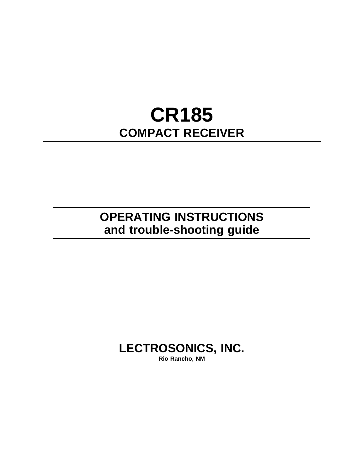# **CR185 COMPACT RECEIVER**

## **OPERATING INSTRUCTIONS and trouble-shooting guide**

## **LECTROSONICS, INC.**

**Rio Rancho, NM**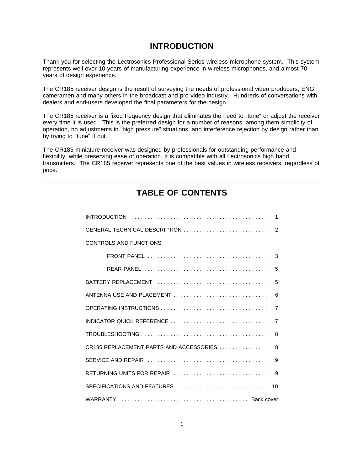### **INTRODUCTION**

Thank you for selecting the Lectrosonics Professional Series wireless microphone system. This system represents well over 10 years of manufacturing experience in wireless microphones, and almost 70 years of design experience.

The CR185 receiver design is the result of surveying the needs of professional video producers, ENG cameramen and many others in the broadcast and pro video industry. Hundreds of conversations with dealers and end-users developed the final parameters for the design.

The CR185 receiver is a fixed frequency design that eliminates the need to "tune" or adjust the receiver every time it is used. This is the preferred design for a number of reasons, among them simplicity of operation, no adjustments in "high pressure" situations, and interference rejection by design rather than by trying to "tune" it out.

The CR185 miniature receiver was designed by professionals for outstanding performance and flexibility, while preserving ease of operation. It is compatible with all Lectrosonics high band transmitters. The CR185 receiver represents one of the best values in wireless receivers, regardless of price.

## INTRODUCTION .......................................... 1 [GENERAL TECHNICAL DESCRIPTION](#page-2-0) .......................... 2 CONTROLS AND FUNCTIONS [FRONT PANEL ..................................... 3](#page-3-0) [REAR PANEL ...................................... 5](#page-5-0) BATTERY REPLACEMENT [................................... 5](#page-5-0) ANTENNA USE AND PLACEMENT ................................ OPERATING INSTRUCTIONS [................................. 7](#page-7-0) INDICATOR QUICK REFERENCE [.............................. 7](#page-7-0) TROUBLESHOOTING ....................................... 8 CR185 REPLACEMENT PARTS AND ACCESSORIES ............... 8 [SERVICE AND REPAIR .....................................](#page-9-0)  9 [RETURNING UNITS FOR REPAIR .............................](#page-9-0)  9 SPECIFICATIONS AND FEATURES ............................ 10 WARRANTY ........................................ Back cover

### **TABLE OF CONTENTS**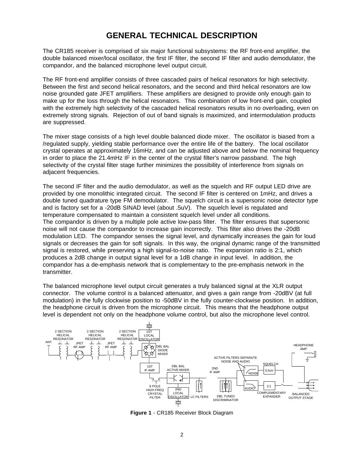### **GENERAL TECHNICAL DESCRIPTION**

<span id="page-2-0"></span>The CR185 receiver is comprised of six major functional subsystems: the RF front-end amplifier, the double balanced mixer/local oscillator, the first IF filter, the second IF filter and audio demodulator, the compandor, and the balanced microphone level output circuit.

The RF front-end amplifier consists of three cascaded pairs of helical resonators for high selectivity. Between the first and second helical resonators, and the second and third helical resonators are low noise grounded gate JFET amplifiers. These amplifiers are designed to provide only enough gain to make up for the loss through the helical resonators. This combination of low front-end gain, coupled with the extremely high selectivity of the cascaded helical resonators results in no overloading, even on extremely strong signals. Rejection of out of band signals is maximized, and intermodulation products are suppressed.

The mixer stage consists of a high level double balanced diode mixer. The oscillator is biased from a /regulated supply, yielding stable performance over the entire life of the battery. The local oscillator crystal operates at approximately 16mHz, and can be adjusted above and below the nominal frequency in order to place the 21.4mHz IF in the center of the crystal filter's narrow passband. The high selectivity of the crystal filter stage further minimizes the possibility of interference from signals on adjacent frequencies.

The second IF filter and the audio demodulator, as well as the squelch and RF output LED drive are provided by one monolithic integrated circuit. The second IF filter is centered on 1mHz, and drives a double tuned quadrature type FM demodulator. The squelch circuit is a supersonic noise detector type and is factory set for a -20dB SINAD level (about .5uV). The squelch level is regulated and temperature compensated to maintain a consistent squelch level under all conditions. The compandor is driven by a multiple pole active low-pass filter. The filter ensures that supersonic noise will not cause the compandor to increase gain incorrectly. This filter also drives the -20dB modulation LED. The compandor senses the signal level, and dynamically increases the gain for loud signals or decreases the gain for soft signals. In this way, the original dynamic range of the transmitted signal is restored, while preserving a high signal-to-noise ratio. The expansion ratio is 2:1, which produces a 2dB change in output signal level for a 1dB change in input level. In addition, the compandor has a de-emphasis network that is complementary to the pre-emphasis network in the transmitter.

The balanced microphone level output circuit generates a truly balanced signal at the XLR output connector. The volume control is a balanced attenuator, and gives a gain range from -20dBV (at full modulation) in the fully clockwise position to -50dBV in the fully counter-clockwise position. In addition, the headphone circuit is driven from the microphone circuit. This means that the headphone output level is dependent not only on the headphone volume control, but also the microphone level control.



**Figure 1** - CR185 Receiver Block Diagram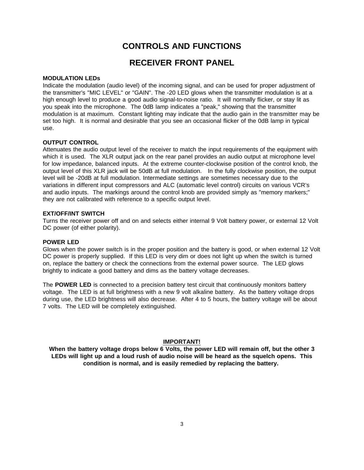### **CONTROLS AND FUNCTIONS**

### **RECEIVER FRONT PANEL**

#### <span id="page-3-0"></span>**MODULATION LEDs**

Indicate the modulation (audio level) of the incoming signal, and can be used for proper adjustment of the transmitter's "MIC LEVEL" or "GAIN". The -20 LED glows when the transmitter modulation is at a high enough level to produce a good audio signal-to-noise ratio. It will normally flicker, or stay lit as you speak into the microphone. The 0dB lamp indicates a "peak," showing that the transmitter modulation is at maximum. Constant lighting may indicate that the audio gain in the transmitter may be set too high. It is normal and desirable that you see an occasional flicker of the 0dB lamp in typical use.

#### **OUTPUT CONTROL**

Attenuates the audio output level of the receiver to match the input requirements of the equipment with which it is used. The XLR output jack on the rear panel provides an audio output at microphone level for low impedance, balanced inputs. At the extreme counter-clockwise position of the control knob, the output level of this XLR jack will be 50dB at full modulation. In the fully clockwise position, the output level will be -20dB at full modulation. Intermediate settings are sometimes necessary due to the variations in different input compressors and ALC (automatic level control) circuits on various VCR's and audio inputs. The markings around the control knob are provided simply as "memory markers;" they are not calibrated with reference to a specific output level.

#### **EXT/OFF/INT SWITCH**

Turns the receiver power off and on and selects either internal 9 Volt battery power, or external 12 Volt DC power (of either polarity).

#### **POWER LED**

Glows when the power switch is in the proper position and the battery is good, or when external 12 Volt DC power is properly supplied. If this LED is very dim or does not light up when the switch is turned on, replace the battery or check the connections from the external power source. The LED glows brightly to indicate a good battery and dims as the battery voltage decreases.

The **POWER LED** is connected to a precision battery test circuit that continuously monitors battery voltage. The LED is at full brightness with a new 9 volt alkaline battery. As the battery voltage drops during use, the LED brightness will also decrease. After 4 to 5 hours, the battery voltage will be about 7 volts. The LED will be completely extinguished.

#### **IMPORTANT!**

**When the battery voltage drops below 6 Volts, the power LED will remain off, but the other 3 LEDs will light up and a loud rush of audio noise will be heard as the squelch opens. This condition is normal, and is easily remedied by replacing the battery.**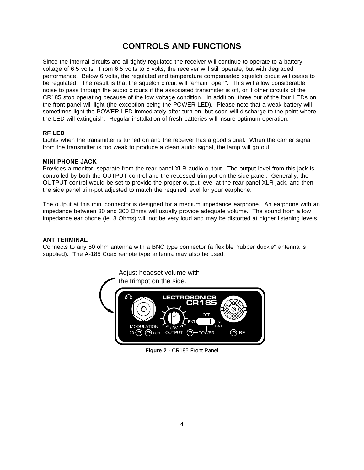### **CONTROLS AND FUNCTIONS**

Since the internal circuits are all tightly regulated the receiver will continue to operate to a battery voltage of 6.5 volts. From 6.5 volts to 6 volts, the receiver will still operate, but with degraded performance. Below 6 volts, the regulated and temperature compensated squelch circuit will cease to be regulated. The result is that the squelch circuit will remain "open". This will allow considerable noise to pass through the audio circuits if the associated transmitter is off, or if other circuits of the CR185 stop operating because of the low voltage condition. In addition, three out of the four LEDs on the front panel will light (the exception being the POWER LED). Please note that a weak battery will sometimes light the POWER LED immediately after turn on, but soon will discharge to the point where the LED will extinguish. Regular installation of fresh batteries will insure optimum operation.

#### **RF LED**

Lights when the transmitter is turned on and the receiver has a good signal. When the carrier signal from the transmitter is too weak to produce a clean audio signal, the lamp will go out.

#### **MINI PHONE JACK**

Provides a monitor, separate from the rear panel XLR audio output. The output level from this jack is controlled by both the OUTPUT control and the recessed trim-pot on the side panel. Generally, the OUTPUT control would be set to provide the proper output level at the rear panel XLR jack, and then the side panel trim-pot adjusted to match the required level for your earphone.

The output at this mini connector is designed for a medium impedance earphone. An earphone with an impedance between 30 and 300 Ohms will usually provide adequate volume. The sound from a low impedance ear phone (ie. 8 Ohms) will not be very loud and may be distorted at higher listening levels.

#### **ANT TERMINAL**

Connects to any 50 ohm antenna with a BNC type connector (a flexible "rubber duckie" antenna is supplied). The A-185 Coax remote type antenna may also be used.



**Figure 2** - CR185 Front Panel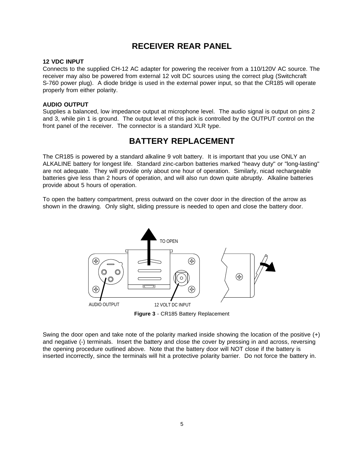### **RECEIVER REAR PANEL**

#### <span id="page-5-0"></span>**12 VDC INPUT**

Connects to the supplied CH-12 AC adapter for powering the receiver from a 110/120V AC source. The receiver may also be powered from external 12 volt DC sources using the correct plug (Switchcraft S-760 power plug). A diode bridge is used in the external power input, so that the CR185 will operate properly from either polarity.

#### **AUDIO OUTPUT**

Supplies a balanced, low impedance output at microphone level. The audio signal is output on pins 2 and 3, while pin 1 is ground. The output level of this jack is controlled by the OUTPUT control on the front panel of the receiver. The connector is a standard XLR type.

### **BATTERY REPLACEMENT**

The CR185 is powered by a standard alkaline 9 volt battery. It is important that you use ONLY an ALKALINE battery for longest life. Standard zinc-carbon batteries marked "heavy duty" or "long-lasting" are not adequate. They will provide only about one hour of operation. Similarly, nicad rechargeable batteries give less than 2 hours of operation, and will also run down quite abruptly. Alkaline batteries provide about 5 hours of operation.

To open the battery compartment, press outward on the cover door in the direction of the arrow as shown in the drawing. Only slight, sliding pressure is needed to open and close the battery door.



Swing the door open and take note of the polarity marked inside showing the location of the positive (+) and negative (-) terminals. Insert the battery and close the cover by pressing in and across, reversing the opening procedure outlined above. Note that the battery door will NOT close if the battery is inserted incorrectly, since the terminals will hit a protective polarity barrier. Do not force the battery in.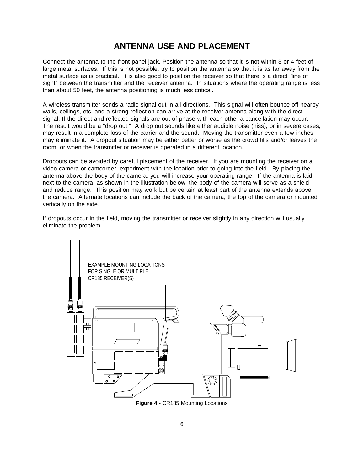### **ANTENNA USE AND PLACEMENT**

<span id="page-6-0"></span>Connect the antenna to the front panel jack. Position the antenna so that it is not within 3 or 4 feet of large metal surfaces. If this is not possible, try to position the antenna so that it is as far away from the metal surface as is practical. It is also good to position the receiver so that there is a direct "line of sight" between the transmitter and the receiver antenna. In situations where the operating range is less than about 50 feet, the antenna positioning is much less critical.

A wireless transmitter sends a radio signal out in all directions. This signal will often bounce off nearby walls, ceilings, etc. and a strong reflection can arrive at the receiver antenna along with the direct signal. If the direct and reflected signals are out of phase with each other a cancellation may occur. The result would be a "drop out." A drop out sounds like either audible noise (hiss), or in severe cases, may result in a complete loss of the carrier and the sound. Moving the transmitter even a few inches may eliminate it. A dropout situation may be either better or worse as the crowd fills and/or leaves the room, or when the transmitter or receiver is operated in a different location.

Dropouts can be avoided by careful placement of the receiver. If you are mounting the receiver on a video camera or camcorder, experiment with the location prior to going into the field. By placing the antenna above the body of the camera, you will increase your operating range. If the antenna is laid next to the camera, as shown in the illustration below, the body of the camera will serve as a shield and reduce range. This position may work but be certain at least part of the antenna extends above the camera. Alternate locations can include the back of the camera, the top of the camera or mounted vertically on the side.

If dropouts occur in the field, moving the transmitter or receiver slightly in any direction will usually eliminate the problem.



**Figure 4** - CR185 Mounting Locations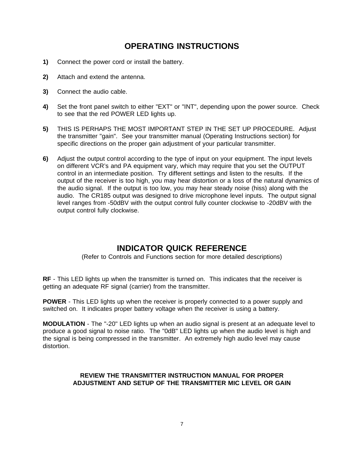### **OPERATING INSTRUCTIONS**

- <span id="page-7-0"></span>**1)** Connect the power cord or install the battery.
- **2)** Attach and extend the antenna.
- **3)** Connect the audio cable.
- **4)** Set the front panel switch to either "EXT" or "INT", depending upon the power source. Check to see that the red POWER LED lights up.
- **5)** THIS IS PERHAPS THE MOST IMPORTANT STEP IN THE SET UP PROCEDURE. Adjust the transmitter "gain". See your transmitter manual (Operating Instructions section) for specific directions on the proper gain adjustment of your particular transmitter.
- **6)** Adjust the output control according to the type of input on your equipment. The input levels on different VCR's and PA equipment vary, which may require that you set the OUTPUT control in an intermediate position. Try different settings and listen to the results. If the output of the receiver is too high, you may hear distortion or a loss of the natural dynamics of the audio signal. If the output is too low, you may hear steady noise (hiss) along with the audio. The CR185 output was designed to drive microphone level inputs. The output signal level ranges from -50dBV with the output control fully counter clockwise to -20dBV with the output control fully clockwise.

### **INDICATOR QUICK REFERENCE**

(Refer to Controls and Functions section for more detailed descriptions)

**RF** - This LED lights up when the transmitter is turned on. This indicates that the receiver is getting an adequate RF signal (carrier) from the transmitter.

**POWER** - This LED lights up when the receiver is properly connected to a power supply and switched on. It indicates proper battery voltage when the receiver is using a battery.

**MODULATION** - The "-20" LED lights up when an audio signal is present at an adequate level to produce a good signal to noise ratio. The "0dB" LED lights up when the audio level is high and the signal is being compressed in the transmitter. An extremely high audio level may cause distortion.

#### **REVIEW THE TRANSMITTER INSTRUCTION MANUAL FOR PROPER ADJUSTMENT AND SETUP OF THE TRANSMITTER MIC LEVEL OR GAIN**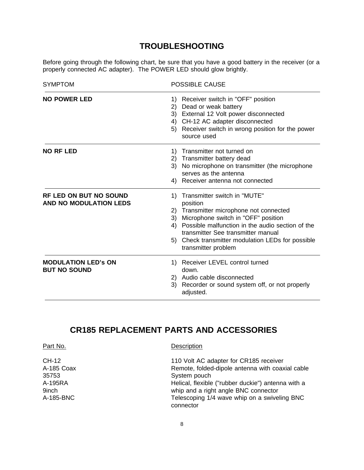### **TROUBLESHOOTING**

Before going through the following chart, be sure that you have a good battery in the receiver (or a properly connected AC adapter). The POWER LED should glow brightly.

| <b>SYMPTOM</b>                                                 | <b>POSSIBLE CAUSE</b>                                                                                                                                                                                                                                                                                              |
|----------------------------------------------------------------|--------------------------------------------------------------------------------------------------------------------------------------------------------------------------------------------------------------------------------------------------------------------------------------------------------------------|
| <b>NO POWER LED</b>                                            | Receiver switch in "OFF" position<br>1)<br>2) Dead or weak battery<br>3) External 12 Volt power disconnected<br>4) CH-12 AC adapter disconnected<br>Receiver switch in wrong position for the power<br>5)<br>source used                                                                                           |
| <b>NO RF LED</b>                                               | Transmitter not turned on<br>1)<br>2) Transmitter battery dead<br>No microphone on transmitter (the microphone<br>3)<br>serves as the antenna<br>4) Receiver antenna not connected                                                                                                                                 |
| <b>RF LED ON BUT NO SOUND</b><br><b>AND NO MODULATION LEDS</b> | 1) Transmitter switch in "MUTE"<br>position<br>2) Transmitter microphone not connected<br>Microphone switch in "OFF" position<br>3)<br>Possible malfunction in the audio section of the<br>4)<br>transmitter See transmitter manual<br>Check transmitter modulation LEDs for possible<br>5)<br>transmitter problem |
| <b>MODULATION LED'S ON</b><br><b>BUT NO SOUND</b>              | Receiver LEVEL control turned<br>1)<br>down.<br>2) Audio cable disconnected<br>3)<br>Recorder or sound system off, or not properly<br>adjusted.                                                                                                                                                                    |

### **CR185 REPLACEMENT PARTS AND ACCESSORIES**

| Part No.   | Description                                               |
|------------|-----------------------------------------------------------|
| CH-12      | 110 Volt AC adapter for CR185 receiver                    |
| A-185 Coax | Remote, folded-dipole antenna with coaxial cable          |
| 35753      | System pouch                                              |
| A-195RA    | Helical, flexible ("rubber duckie") antenna with a        |
| 9inch      | whip and a right angle BNC connector                      |
| A-185-BNC  | Telescoping 1/4 wave whip on a swiveling BNC<br>connector |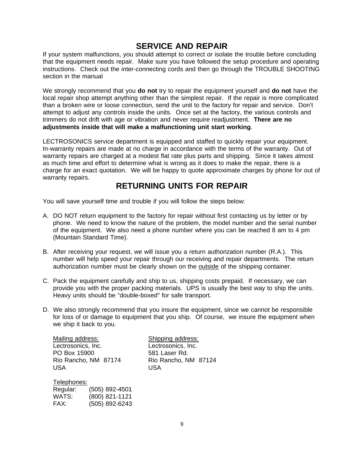### **SERVICE AND REPAIR**

<span id="page-9-0"></span>If your system malfunctions, you should attempt to correct or isolate the trouble before concluding that the equipment needs repair. Make sure you have followed the setup procedure and operating instructions. Check out the inter-connecting cords and then go through the TROUBLE SHOOTING section in the manual

We strongly recommend that you **do not** try to repair the equipment yourself and **do not** have the local repair shop attempt anything other than the simplest repair. If the repair is more complicated than a broken wire or loose connection, send the unit to the factory for repair and service. Don't attempt to adjust any controls inside the units. Once set at the factory, the various controls and trimmers do not drift with age or vibration and never require readjustment. **There are no adjustments inside that will make a malfunctioning unit start working**.

LECTROSONICS service department is equipped and staffed to quickly repair your equipment. In-warranty repairs are made at no charge in accordance with the terms of the warranty. Out of warranty repairs are charged at a modest flat rate plus parts and shipping. Since it takes almost as much time and effort to determine what is wrong as it does to make the repair, there is a charge for an exact quotation. We will be happy to quote approximate charges by phone for out of warranty repairs.

### **RETURNING UNITS FOR REPAIR**

You will save yourself time and trouble if you will follow the steps below:

- A. DO NOT return equipment to the factory for repair without first contacting us by letter or by phone. We need to know the nature of the problem, the model number and the serial number of the equipment. We also need a phone number where you can be reached 8 am to 4 pm (Mountain Standard Time).
- B. After receiving your request, we will issue you a return authorization number (R.A.). This number will help speed your repair through our receiving and repair departments. The return authorization number must be clearly shown on the outside of the shipping container.
- C. Pack the equipment carefully and ship to us, shipping costs prepaid. If necessary, we can provide you with the proper packing materials. UPS is usually the best way to ship the units. Heavy units should be "double-boxed" for safe transport.
- D. We also strongly recommend that you insure the equipment, since we cannot be responsible for loss of or damage to equipment that you ship. Of course, we insure the equipment when we ship it back to you.

| Mailing address:     |  |
|----------------------|--|
| Lectrosonics, Inc.   |  |
| PO Box 15900         |  |
| Rio Rancho, NM 87174 |  |
| <b>USA</b>           |  |

Shipping address: Lectrosonics, Inc. 581 Laser Rd. Rio Rancho, NM 87124 USA USA

Telephones: Regular: (505) 892-4501 WATS: (800) 821-1121 FAX: (505) 892-6243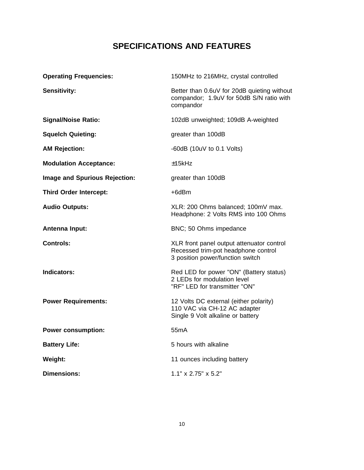### **SPECIFICATIONS AND FEATURES**

| <b>Operating Frequencies:</b>        | 150MHz to 216MHz, crystal controlled                                                                                 |
|--------------------------------------|----------------------------------------------------------------------------------------------------------------------|
| <b>Sensitivity:</b>                  | Better than 0.6uV for 20dB quieting without<br>compandor; 1.9uV for 50dB S/N ratio with<br>compandor                 |
| <b>Signal/Noise Ratio:</b>           | 102dB unweighted; 109dB A-weighted                                                                                   |
| <b>Squelch Quieting:</b>             | greater than 100dB                                                                                                   |
| <b>AM Rejection:</b>                 | -60dB $(10uV to 0.1 Volts)$                                                                                          |
| <b>Modulation Acceptance:</b>        | ±15kHz                                                                                                               |
| <b>Image and Spurious Rejection:</b> | greater than 100dB                                                                                                   |
| <b>Third Order Intercept:</b>        | $+6dBr$                                                                                                              |
| <b>Audio Outputs:</b>                | XLR: 200 Ohms balanced; 100mV max.<br>Headphone: 2 Volts RMS into 100 Ohms                                           |
| <b>Antenna Input:</b>                | BNC; 50 Ohms impedance                                                                                               |
| <b>Controls:</b>                     | XLR front panel output attenuator control<br>Recessed trim-pot headphone control<br>3 position power/function switch |
| Indicators:                          | Red LED for power "ON" (Battery status)<br>2 LEDs for modulation level<br>"RF" LED for transmitter "ON"              |
| <b>Power Requirements:</b>           | 12 Volts DC external (either polarity)<br>110 VAC via CH-12 AC adapter<br>Single 9 Volt alkaline or battery          |
| <b>Power consumption:</b>            | 55 <sub>m</sub> A                                                                                                    |
| <b>Battery Life:</b>                 | 5 hours with alkaline                                                                                                |
| Weight:                              | 11 ounces including battery                                                                                          |
| <b>Dimensions:</b>                   | 1.1" x 2.75" x 5.2"                                                                                                  |